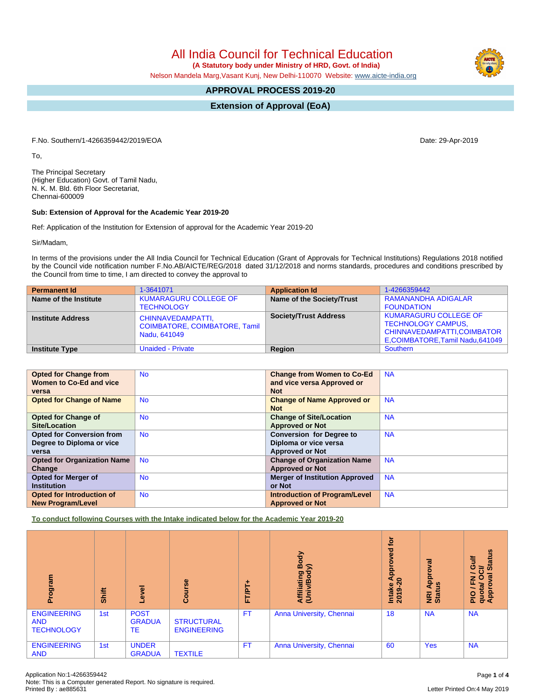All India Council for Technical Education

 **(A Statutory body under Ministry of HRD, Govt. of India)**

Nelson Mandela Marg,Vasant Kunj, New Delhi-110070 Website: [www.aicte-india.org](http://www.aicte-india.org)

# **APPROVAL PROCESS 2019-20**

**Extension of Approval (EoA)**

F.No. Southern/1-4266359442/2019/EOA Date: 29-Apr-2019

To,

The Principal Secretary (Higher Education) Govt. of Tamil Nadu, N. K. M. Bld. 6th Floor Secretariat, Chennai-600009

# **Sub: Extension of Approval for the Academic Year 2019-20**

Ref: Application of the Institution for Extension of approval for the Academic Year 2019-20

Sir/Madam,

In terms of the provisions under the All India Council for Technical Education (Grant of Approvals for Technical Institutions) Regulations 2018 notified by the Council vide notification number F.No.AB/AICTE/REG/2018 dated 31/12/2018 and norms standards, procedures and conditions prescribed by the Council from time to time, I am directed to convey the approval to

| <b>Permanent Id</b>      | 1-3641071                                                                 | <b>Application Id</b>        | 1-4266359442                                                                                                               |
|--------------------------|---------------------------------------------------------------------------|------------------------------|----------------------------------------------------------------------------------------------------------------------------|
| Name of the Institute    | <b>KUMARAGURU COLLEGE OF</b>                                              | Name of the Society/Trust    | RAMANANDHA ADIGALAR                                                                                                        |
|                          | <b>TECHNOLOGY</b>                                                         |                              | <b>FOUNDATION</b>                                                                                                          |
| <b>Institute Address</b> | CHINNAVEDAMPATTI,<br><b>COIMBATORE, COIMBATORE, Tamil</b><br>Nadu, 641049 | <b>Society/Trust Address</b> | <b>KUMARAGURU COLLEGE OF</b><br><b>TECHNOLOGY CAMPUS,</b><br>CHINNAVEDAMPATTI, COIMBATOR<br>E,COIMBATORE,Tamil Nadu,641049 |
| <b>Institute Type</b>    | <b>Unaided - Private</b>                                                  | Region                       | Southern                                                                                                                   |

| <b>Opted for Change from</b>       | <b>No</b> | <b>Change from Women to Co-Ed</b>     | <b>NA</b> |
|------------------------------------|-----------|---------------------------------------|-----------|
| Women to Co-Ed and vice            |           | and vice versa Approved or            |           |
| versa                              |           | <b>Not</b>                            |           |
| <b>Opted for Change of Name</b>    | <b>No</b> | <b>Change of Name Approved or</b>     | <b>NA</b> |
|                                    |           | <b>Not</b>                            |           |
| <b>Opted for Change of</b>         | <b>No</b> | <b>Change of Site/Location</b>        | <b>NA</b> |
| Site/Location                      |           | <b>Approved or Not</b>                |           |
| <b>Opted for Conversion from</b>   | <b>No</b> | <b>Conversion for Degree to</b>       | <b>NA</b> |
| Degree to Diploma or vice          |           | Diploma or vice versa                 |           |
| versa                              |           | <b>Approved or Not</b>                |           |
| <b>Opted for Organization Name</b> | <b>No</b> | <b>Change of Organization Name</b>    | <b>NA</b> |
| Change                             |           | <b>Approved or Not</b>                |           |
| <b>Opted for Merger of</b>         | <b>No</b> | <b>Merger of Institution Approved</b> | <b>NA</b> |
| <b>Institution</b>                 |           | or Not                                |           |
| Opted for Introduction of          | <b>No</b> | <b>Introduction of Program/Level</b>  | <b>NA</b> |
| <b>New Program/Level</b>           |           | <b>Approved or Not</b>                |           |

**To conduct following Courses with the Intake indicated below for the Academic Year 2019-20**

| Program                                               | Shift | Level                              | Course                                  | ۰<br><b>FT/PT</b> | Body<br>$\widehat{\phantom{a}}$<br>Affiliating<br>(Univ/Body | <b>b</b><br>yed<br>ē<br>Appi<br>$\bullet$<br>Intake<br>ຶ<br>201 | Approval<br>ற<br><b>E</b> ät | <b>Status</b><br>닁<br>ဖ<br>ট<br>$\sigma$<br>O<br>z<br>ī.<br>quota/<br>Approv<br><b>PIO</b> |
|-------------------------------------------------------|-------|------------------------------------|-----------------------------------------|-------------------|--------------------------------------------------------------|-----------------------------------------------------------------|------------------------------|--------------------------------------------------------------------------------------------|
| <b>ENGINEERING</b><br><b>AND</b><br><b>TECHNOLOGY</b> | 1st   | <b>POST</b><br><b>GRADUA</b><br>TE | <b>STRUCTURAL</b><br><b>ENGINEERING</b> | <b>FT</b>         | Anna University, Chennai                                     | 18                                                              | <b>NA</b>                    | <b>NA</b>                                                                                  |
| <b>ENGINEERING</b><br><b>AND</b>                      | 1st   | <b>UNDER</b><br><b>GRADUA</b>      | <b>TEXTILE</b>                          | <b>FT</b>         | Anna University, Chennai                                     | 60                                                              | <b>Yes</b>                   | <b>NA</b>                                                                                  |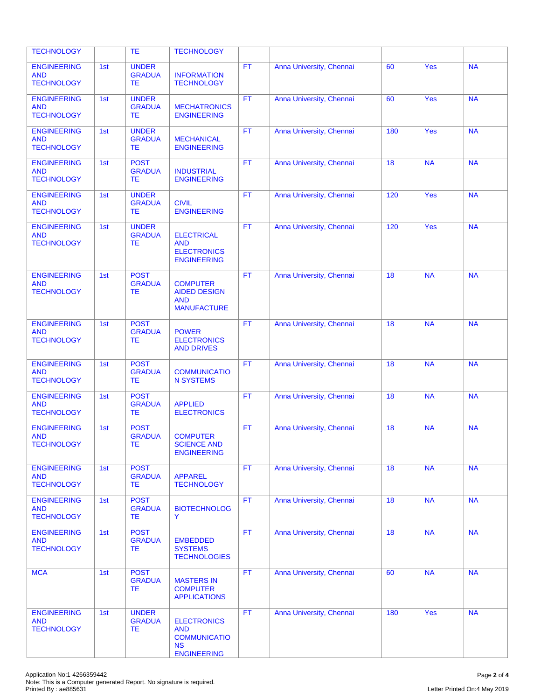| <b>TECHNOLOGY</b>                                     |     | <b>TE</b>                                  | <b>TECHNOLOGY</b>                                                                          |           |                          |     |            |           |
|-------------------------------------------------------|-----|--------------------------------------------|--------------------------------------------------------------------------------------------|-----------|--------------------------|-----|------------|-----------|
| <b>ENGINEERING</b><br><b>AND</b><br><b>TECHNOLOGY</b> | 1st | <b>UNDER</b><br><b>GRADUA</b><br>TЕ        | <b>INFORMATION</b><br><b>TECHNOLOGY</b>                                                    | <b>FT</b> | Anna University, Chennai | 60  | <b>Yes</b> | <b>NA</b> |
| <b>ENGINEERING</b><br><b>AND</b><br><b>TECHNOLOGY</b> | 1st | <b>UNDER</b><br><b>GRADUA</b><br>TЕ        | <b>MECHATRONICS</b><br><b>ENGINEERING</b>                                                  | <b>FT</b> | Anna University, Chennai | 60  | Yes        | <b>NA</b> |
| <b>ENGINEERING</b><br><b>AND</b><br><b>TECHNOLOGY</b> | 1st | <b>UNDER</b><br><b>GRADUA</b><br>TЕ        | <b>MECHANICAL</b><br><b>ENGINEERING</b>                                                    | <b>FT</b> | Anna University, Chennai | 180 | <b>Yes</b> | <b>NA</b> |
| <b>ENGINEERING</b><br><b>AND</b><br><b>TECHNOLOGY</b> | 1st | <b>POST</b><br><b>GRADUA</b><br>ТE         | <b>INDUSTRIAL</b><br><b>ENGINEERING</b>                                                    | <b>FT</b> | Anna University, Chennai | 18  | <b>NA</b>  | <b>NA</b> |
| <b>ENGINEERING</b><br><b>AND</b><br><b>TECHNOLOGY</b> | 1st | <b>UNDER</b><br><b>GRADUA</b><br>ТE        | <b>CIVIL</b><br><b>ENGINEERING</b>                                                         | <b>FT</b> | Anna University, Chennai | 120 | Yes        | <b>NA</b> |
| <b>ENGINEERING</b><br><b>AND</b><br><b>TECHNOLOGY</b> | 1st | <b>UNDER</b><br><b>GRADUA</b><br>TЕ        | <b>ELECTRICAL</b><br><b>AND</b><br><b>ELECTRONICS</b><br><b>ENGINEERING</b>                | <b>FT</b> | Anna University, Chennai | 120 | Yes        | <b>NA</b> |
| <b>ENGINEERING</b><br><b>AND</b><br><b>TECHNOLOGY</b> | 1st | <b>POST</b><br><b>GRADUA</b><br><b>TE</b>  | <b>COMPUTER</b><br><b>AIDED DESIGN</b><br><b>AND</b><br><b>MANUFACTURE</b>                 | FT.       | Anna University, Chennai | 18  | <b>NA</b>  | <b>NA</b> |
| <b>ENGINEERING</b><br><b>AND</b><br><b>TECHNOLOGY</b> | 1st | <b>POST</b><br><b>GRADUA</b><br>ТE         | <b>POWER</b><br><b>ELECTRONICS</b><br><b>AND DRIVES</b>                                    | <b>FT</b> | Anna University, Chennai | 18  | <b>NA</b>  | <b>NA</b> |
| <b>ENGINEERING</b><br><b>AND</b><br><b>TECHNOLOGY</b> | 1st | <b>POST</b><br><b>GRADUA</b><br><b>TE</b>  | <b>COMMUNICATIO</b><br><b>N SYSTEMS</b>                                                    | <b>FT</b> | Anna University, Chennai | 18  | <b>NA</b>  | <b>NA</b> |
| <b>ENGINEERING</b><br><b>AND</b><br><b>TECHNOLOGY</b> | 1st | <b>POST</b><br><b>GRADUA</b><br><b>TE</b>  | <b>APPLIED</b><br><b>ELECTRONICS</b>                                                       | <b>FT</b> | Anna University, Chennai | 18  | <b>NA</b>  | <b>NA</b> |
| <b>ENGINEERING</b><br><b>AND</b><br>TECHNOLOGY        | 1st | <b>POST</b><br><b>GRADUA</b><br>TЕ         | <b>COMPUTER</b><br><b>SCIENCE AND</b><br><b>ENGINEERING</b>                                | <b>FT</b> | Anna University, Chennai | 18  | <b>NA</b>  | <b>NA</b> |
| <b>ENGINEERING</b><br><b>AND</b><br><b>TECHNOLOGY</b> | 1st | <b>POST</b><br><b>GRADUA</b><br>TE.        | <b>APPAREL</b><br><b>TECHNOLOGY</b>                                                        | FT.       | Anna University, Chennai | 18  | <b>NA</b>  | <b>NA</b> |
| <b>ENGINEERING</b><br><b>AND</b><br><b>TECHNOLOGY</b> | 1st | <b>POST</b><br><b>GRADUA</b><br>TE.        | <b>BIOTECHNOLOG</b><br>Y                                                                   | FT.       | Anna University, Chennai | 18  | <b>NA</b>  | <b>NA</b> |
| <b>ENGINEERING</b><br><b>AND</b><br><b>TECHNOLOGY</b> | 1st | <b>POST</b><br><b>GRADUA</b><br>TE         | <b>EMBEDDED</b><br><b>SYSTEMS</b><br><b>TECHNOLOGIES</b>                                   | FT.       | Anna University, Chennai | 18  | <b>NA</b>  | <b>NA</b> |
| <b>MCA</b>                                            | 1st | <b>POST</b><br><b>GRADUA</b><br>TE.        | <b>MASTERS IN</b><br><b>COMPUTER</b><br><b>APPLICATIONS</b>                                | <b>FT</b> | Anna University, Chennai | 60  | <b>NA</b>  | <b>NA</b> |
| <b>ENGINEERING</b><br><b>AND</b><br><b>TECHNOLOGY</b> | 1st | <b>UNDER</b><br><b>GRADUA</b><br><b>TE</b> | <b>ELECTRONICS</b><br><b>AND</b><br><b>COMMUNICATIO</b><br><b>NS</b><br><b>ENGINEERING</b> | FT.       | Anna University, Chennai | 180 | Yes        | <b>NA</b> |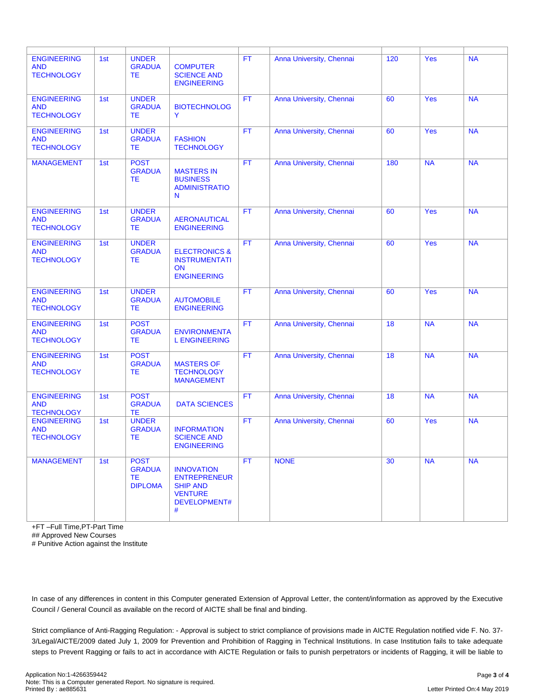| <b>ENGINEERING</b><br><b>AND</b><br><b>TECHNOLOGY</b> | 1st | <b>UNDER</b><br><b>GRADUA</b><br>TE.                  | <b>COMPUTER</b><br><b>SCIENCE AND</b><br><b>ENGINEERING</b>                                        | <b>FT</b> | Anna University, Chennai | 120 | <b>Yes</b> | <b>NA</b> |
|-------------------------------------------------------|-----|-------------------------------------------------------|----------------------------------------------------------------------------------------------------|-----------|--------------------------|-----|------------|-----------|
| <b>ENGINEERING</b><br><b>AND</b><br><b>TECHNOLOGY</b> | 1st | <b>UNDER</b><br><b>GRADUA</b><br>TE.                  | <b>BIOTECHNOLOG</b><br>Y                                                                           | <b>FT</b> | Anna University, Chennai | 60  | Yes        | <b>NA</b> |
| <b>ENGINEERING</b><br><b>AND</b><br><b>TECHNOLOGY</b> | 1st | <b>UNDER</b><br><b>GRADUA</b><br>TE.                  | <b>FASHION</b><br><b>TECHNOLOGY</b>                                                                | <b>FT</b> | Anna University, Chennai | 60  | Yes        | <b>NA</b> |
| <b>MANAGEMENT</b>                                     | 1st | <b>POST</b><br><b>GRADUA</b><br>TE.                   | <b>MASTERS IN</b><br><b>BUSINESS</b><br><b>ADMINISTRATIO</b><br>N                                  | <b>FT</b> | Anna University, Chennai | 180 | <b>NA</b>  | <b>NA</b> |
| <b>ENGINEERING</b><br><b>AND</b><br><b>TECHNOLOGY</b> | 1st | <b>UNDER</b><br><b>GRADUA</b><br>TE.                  | <b>AERONAUTICAL</b><br><b>ENGINEERING</b>                                                          | <b>FT</b> | Anna University, Chennai | 60  | <b>Yes</b> | <b>NA</b> |
| <b>ENGINEERING</b><br><b>AND</b><br><b>TECHNOLOGY</b> | 1st | <b>UNDER</b><br><b>GRADUA</b><br>TE.                  | <b>ELECTRONICS &amp;</b><br><b>INSTRUMENTATI</b><br>ON<br><b>ENGINEERING</b>                       | <b>FT</b> | Anna University, Chennai | 60  | Yes        | <b>NA</b> |
| <b>ENGINEERING</b><br><b>AND</b><br><b>TECHNOLOGY</b> | 1st | <b>UNDER</b><br><b>GRADUA</b><br>TE.                  | <b>AUTOMOBILE</b><br><b>ENGINEERING</b>                                                            | <b>FT</b> | Anna University, Chennai | 60  | Yes        | <b>NA</b> |
| <b>ENGINEERING</b><br><b>AND</b><br><b>TECHNOLOGY</b> | 1st | <b>POST</b><br><b>GRADUA</b><br>TE.                   | <b>ENVIRONMENTA</b><br><b>L ENGINEERING</b>                                                        | <b>FT</b> | Anna University, Chennai | 18  | <b>NA</b>  | <b>NA</b> |
| <b>ENGINEERING</b><br><b>AND</b><br><b>TECHNOLOGY</b> | 1st | <b>POST</b><br><b>GRADUA</b><br><b>TE</b>             | <b>MASTERS OF</b><br><b>TECHNOLOGY</b><br><b>MANAGEMENT</b>                                        | <b>FT</b> | Anna University, Chennai | 18  | <b>NA</b>  | <b>NA</b> |
| <b>ENGINEERING</b><br><b>AND</b><br><b>TECHNOLOGY</b> | 1st | <b>POST</b><br><b>GRADUA</b><br>TE                    | <b>DATA SCIENCES</b>                                                                               | <b>FT</b> | Anna University, Chennai | 18  | <b>NA</b>  | <b>NA</b> |
| <b>ENGINEERING</b><br><b>AND</b><br><b>TECHNOLOGY</b> | 1st | <b>UNDER</b><br><b>GRADUA</b><br><b>TE</b>            | <b>INFORMATION</b><br><b>SCIENCE AND</b><br><b>ENGINEERING</b>                                     | <b>FT</b> | Anna University, Chennai | 60  | <b>Yes</b> | <b>NA</b> |
| <b>MANAGEMENT</b>                                     | 1st | <b>POST</b><br><b>GRADUA</b><br>TE.<br><b>DIPLOMA</b> | <b>INNOVATION</b><br><b>ENTREPRENEUR</b><br><b>SHIP AND</b><br><b>VENTURE</b><br>DEVELOPMENT#<br># | <b>FT</b> | <b>NONE</b>              | 30  | <b>NA</b>  | <b>NA</b> |

+FT –Full Time,PT-Part Time

## Approved New Courses

# Punitive Action against the Institute

In case of any differences in content in this Computer generated Extension of Approval Letter, the content/information as approved by the Executive Council / General Council as available on the record of AICTE shall be final and binding.

Strict compliance of Anti-Ragging Regulation: - Approval is subject to strict compliance of provisions made in AICTE Regulation notified vide F. No. 37- 3/Legal/AICTE/2009 dated July 1, 2009 for Prevention and Prohibition of Ragging in Technical Institutions. In case Institution fails to take adequate steps to Prevent Ragging or fails to act in accordance with AICTE Regulation or fails to punish perpetrators or incidents of Ragging, it will be liable to